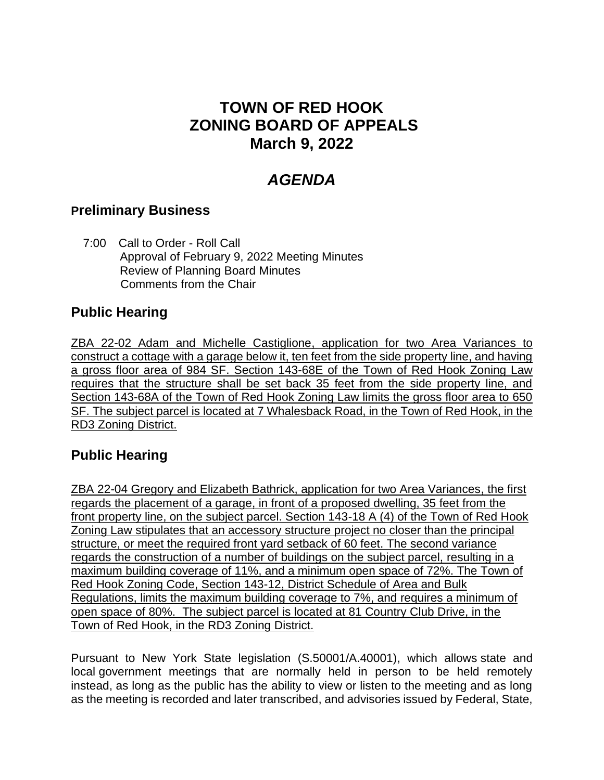## **TOWN OF RED HOOK ZONING BOARD OF APPEALS March 9, 2022**

# *AGENDA*

#### **Preliminary Business**

 7:00 Call to Order - Roll Call Approval of February 9, 2022 Meeting Minutes Review of Planning Board Minutes Comments from the Chair

### **Public Hearing**

ZBA 22-02 Adam and Michelle Castiglione, application for two Area Variances to construct a cottage with a garage below it, ten feet from the side property line, and having a gross floor area of 984 SF. Section 143-68E of the Town of Red Hook Zoning Law requires that the structure shall be set back 35 feet from the side property line, and Section 143-68A of the Town of Red Hook Zoning Law limits the gross floor area to 650 SF. The subject parcel is located at 7 Whalesback Road, in the Town of Red Hook, in the RD3 Zoning District.

#### **Public Hearing**

ZBA 22-04 Gregory and Elizabeth Bathrick, application for two Area Variances, the first regards the placement of a garage, in front of a proposed dwelling, 35 feet from the front property line, on the subject parcel. Section 143-18 A (4) of the Town of Red Hook Zoning Law stipulates that an accessory structure project no closer than the principal structure, or meet the required front yard setback of 60 feet. The second variance regards the construction of a number of buildings on the subject parcel, resulting in a maximum building coverage of 11%, and a minimum open space of 72%. The Town of Red Hook Zoning Code, Section 143-12, District Schedule of Area and Bulk Regulations, limits the maximum building coverage to 7%, and requires a minimum of open space of 80%. The subject parcel is located at 81 Country Club Drive, in the Town of Red Hook, in the RD3 Zoning District.

Pursuant to New York State legislation (S.50001/A.40001), which allows state and local government meetings that are normally held in person to be held remotely instead, as long as the public has the ability to view or listen to the meeting and as long as the meeting is recorded and later transcribed, and advisories issued by Federal, State,